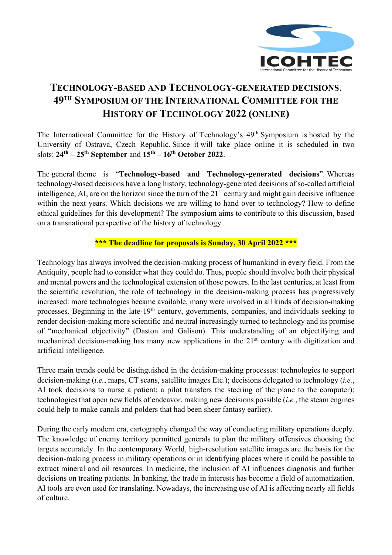

## **TECHNOLOGY-BASED AND TECHNOLOGY-GENERATED DECISIONS**. **49TH SYMPOSIUM OF THE INTERNATIONAL COMMITTEE FOR THE HISTORY OF TECHNOLOGY 2022 (ONLINE)**

The International Committee for the History of Technology's 49th Symposium is hosted by the University of Ostrava, Czech Republic. Since it will take place online it is scheduled in two slots: **24th – 25th September** and **15th – 16th October 2022**.

The general theme is "**Technology-based and Technology-generated decisions**". Whereas technology-based decisions have a long history, technology-generated decisions of so-called artificial intelligence, AI, are on the horizon since the turn of the 21<sup>st</sup> century and might gain decisive influence within the next years. Which decisions we are willing to hand over to technology? How to define ethical guidelines for this development? The symposium aims to contribute to this discussion, based on a transnational perspective of the history of technology.

## **\*\*\* The deadline for proposals is Sunday, 30 April 2022 \*\*\***

Technology has always involved the decision-making process of humankind in every field. From the Antiquity, people had to consider what they could do. Thus, people should involve both their physical and mental powers and the technological extension of those powers. In the last centuries, at least from the scientific revolution, the role of technology in the decision-making process has progressively increased: more technologies became available, many were involved in all kinds of decision-making processes. Beginning in the late-19th century, governments, companies, and individuals seeking to render decision-making more scientific and neutral increasingly turned to technology and its promise of "mechanical objectivity" (Daston and Galison). This understanding of an objectifying and mechanized decision-making has many new applications in the 21<sup>st</sup> century with digitization and artificial intelligence.

Three main trends could be distinguished in the decision-making processes: technologies to support decision-making (*i.e.*, maps, CT scans, satellite images Etc.); decisions delegated to technology (*i.e.*, AI took decisions to nurse a patient; a pilot transfers the steering of the plane to the computer); technologies that open new fields of endeavor, making new decisions possible (*i.e.*, the steam engines could help to make canals and polders that had been sheer fantasy earlier).

During the early modern era, cartography changed the way of conducting military operations deeply. The knowledge of enemy territory permitted generals to plan the military offensives choosing the targets accurately. In the contemporary World, high-resolution satellite images are the basis for the decision-making process in military operations or in identifying places where it could be possible to extract mineral and oil resources. In medicine, the inclusion of AI influences diagnosis and further decisions on treating patients. In banking, the trade in interests has become a field of automatization. AI tools are even used for translating. Nowadays, the increasing use of AI is affecting nearly all fields of culture.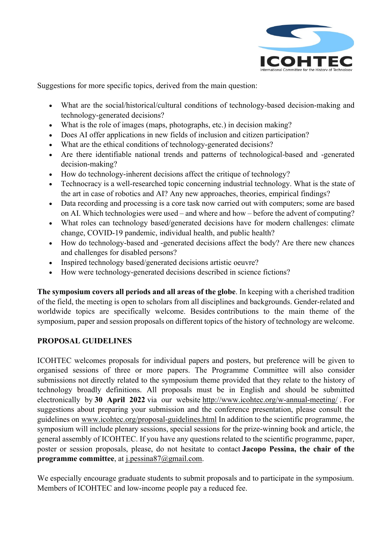

Suggestions for more specific topics, derived from the main question:

- What are the social/historical/cultural conditions of technology-based decision-making and technology-generated decisions?
- What is the role of images (maps, photographs, etc.) in decision making?
- Does AI offer applications in new fields of inclusion and citizen participation?
- What are the ethical conditions of technology-generated decisions?
- Are there identifiable national trends and patterns of technological-based and -generated decision-making?
- How do technology-inherent decisions affect the critique of technology?
- Technocracy is a well-researched topic concerning industrial technology. What is the state of the art in case of robotics and AI? Any new approaches, theories, empirical findings?
- Data recording and processing is a core task now carried out with computers; some are based on AI. Which technologies were used – and where and how – before the advent of computing?
- What roles can technology based/generated decisions have for modern challenges: climate change, COVID-19 pandemic, individual health, and public health?
- How do technology-based and -generated decisions affect the body? Are there new chances and challenges for disabled persons?
- Inspired technology based/generated decisions artistic oeuvre?
- How were technology-generated decisions described in science fictions?

**The symposium covers all periods and all areas of the globe**. In keeping with a cherished tradition of the field, the meeting is open to scholars from all disciplines and backgrounds. Gender-related and worldwide topics are specifically welcome. Besides contributions to the main theme of the symposium, paper and session proposals on different topics of the history of technology are welcome.

## **PROPOSAL GUIDELINES**

ICOHTEC welcomes proposals for individual papers and posters, but preference will be given to organised sessions of three or more papers. The Programme Committee will also consider submissions not directly related to the symposium theme provided that they relate to the history of technology broadly definitions. All proposals must be in English and should be submitted electronically by **30 April 2022** via our website http://www.icohtec.org/w-annual-meeting/ . For suggestions about preparing your submission and the conference presentation, please consult the guidelines on www.icohtec.org/proposal-guidelines.html In addition to the scientific programme, the symposium will include plenary sessions, special sessions for the prize-winning book and article, the general assembly of ICOHTEC. If you have any questions related to the scientific programme, paper, poster or session proposals, please, do not hesitate to contact **Jacopo Pessina, the chair of the programme committee**, at j.pessina87@gmail.com.

We especially encourage graduate students to submit proposals and to participate in the symposium. Members of ICOHTEC and low-income people pay a reduced fee.